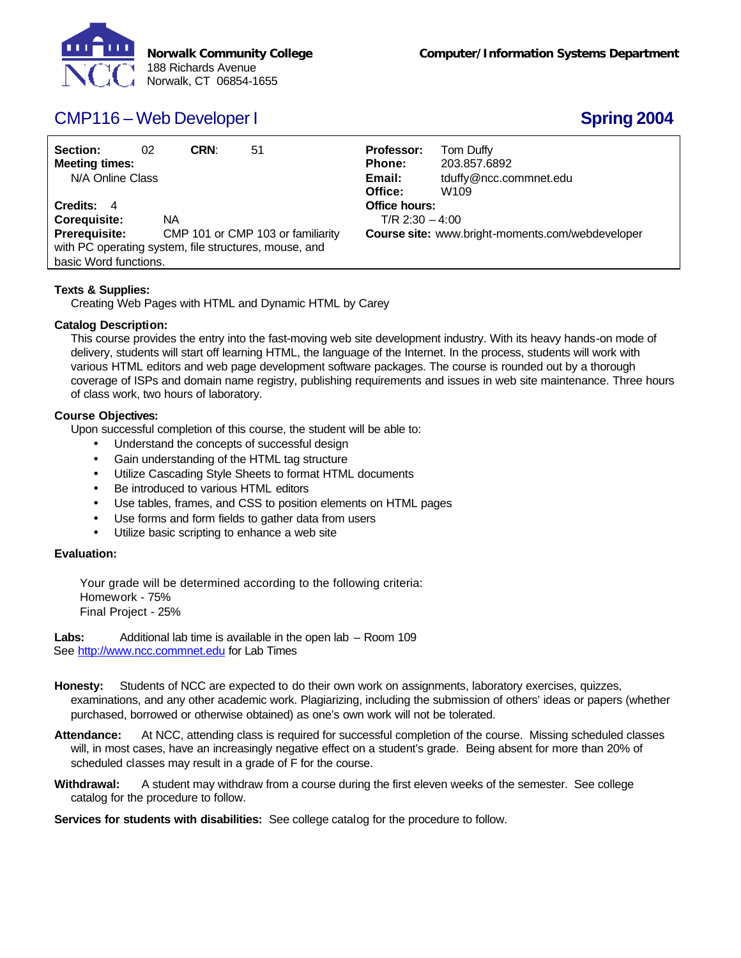

# CMP116 – Web Developer I **Spring 2004**

| Section:<br><b>Meeting times:</b><br>N/A Online Class | 02 | CRN: | 51                                | <b>Professor:</b><br><b>Phone:</b><br>Email:<br>Office: | Tom Duffy<br>203.857.6892<br>tduffy@ncc.commnet.edu<br>W <sub>109</sub> |  |  |  |
|-------------------------------------------------------|----|------|-----------------------------------|---------------------------------------------------------|-------------------------------------------------------------------------|--|--|--|
| Credits: 4                                            |    |      |                                   | Office hours:                                           |                                                                         |  |  |  |
| <b>Corequisite:</b><br>NA.                            |    |      |                                   | $T/R$ 2:30 $-4:00$                                      |                                                                         |  |  |  |
| Prerequisite:                                         |    |      | CMP 101 or CMP 103 or familiarity | <b>Course site:</b> www.bright-moments.com/webdeveloper |                                                                         |  |  |  |
| with PC operating system, file structures, mouse, and |    |      |                                   |                                                         |                                                                         |  |  |  |
| basic Word functions.                                 |    |      |                                   |                                                         |                                                                         |  |  |  |

## **Texts & Supplies:**

Creating Web Pages with HTML and Dynamic HTML by Carey

### **Catalog Description:**

This course provides the entry into the fast-moving web site development industry. With its heavy hands-on mode of delivery, students will start off learning HTML, the language of the Internet. In the process, students will work with various HTML editors and web page development software packages. The course is rounded out by a thorough coverage of ISPs and domain name registry, publishing requirements and issues in web site maintenance. Three hours of class work, two hours of laboratory.

### **Course Objectives:**

Upon successful completion of this course, the student will be able to:

- Understand the concepts of successful design
- Gain understanding of the HTML tag structure
- Utilize Cascading Style Sheets to format HTML documents
- Be introduced to various HTML editors
- Use tables, frames, and CSS to position elements on HTML pages
- Use forms and form fields to gather data from users
- Utilize basic scripting to enhance a web site

#### **Evaluation:**

Your grade will be determined according to the following criteria: Homework - 75% Final Project - 25%

Labs: Additional lab time is available in the open lab – Room 109 See http://www.ncc.commnet.edu for Lab Times

- **Honesty:** Students of NCC are expected to do their own work on assignments, laboratory exercises, quizzes, examinations, and any other academic work. Plagiarizing, including the submission of others' ideas or papers (whether purchased, borrowed or otherwise obtained) as one's own work will not be tolerated.
- **Attendance:** At NCC, attending class is required for successful completion of the course. Missing scheduled classes will, in most cases, have an increasingly negative effect on a student's grade. Being absent for more than 20% of scheduled classes may result in a grade of F for the course.
- **Withdrawal:** A student may withdraw from a course during the first eleven weeks of the semester. See college catalog for the procedure to follow.

**Services for students with disabilities:** See college catalog for the procedure to follow.